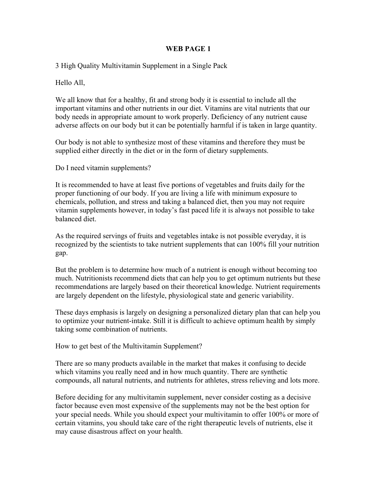#### **WEB PAGE 1**

3 High Quality Multivitamin Supplement in a Single Pack

Hello All,

We all know that for a healthy, fit and strong body it is essential to include all the important vitamins and other nutrients in our diet. Vitamins are vital nutrients that our body needs in appropriate amount to work properly. Deficiency of any nutrient cause adverse affects on our body but it can be potentially harmful if is taken in large quantity.

Our body is not able to synthesize most of these vitamins and therefore they must be supplied either directly in the diet or in the form of dietary supplements.

Do I need vitamin supplements?

It is recommended to have at least five portions of vegetables and fruits daily for the proper functioning of our body. If you are living a life with minimum exposure to chemicals, pollution, and stress and taking a balanced diet, then you may not require vitamin supplements however, in today's fast paced life it is always not possible to take balanced diet.

As the required servings of fruits and vegetables intake is not possible everyday, it is recognized by the scientists to take nutrient supplements that can 100% fill your nutrition gap.

But the problem is to determine how much of a nutrient is enough without becoming too much. Nutritionists recommend diets that can help you to get optimum nutrients but these recommendations are largely based on their theoretical knowledge. Nutrient requirements are largely dependent on the lifestyle, physiological state and generic variability.

These days emphasis is largely on designing a personalized dietary plan that can help you to optimize your nutrient-intake. Still it is difficult to achieve optimum health by simply taking some combination of nutrients.

How to get best of the Multivitamin Supplement?

There are so many products available in the market that makes it confusing to decide which vitamins you really need and in how much quantity. There are synthetic compounds, all natural nutrients, and nutrients for athletes, stress relieving and lots more.

Before deciding for any multivitamin supplement, never consider costing as a decisive factor because even most expensive of the supplements may not be the best option for your special needs. While you should expect your multivitamin to offer 100% or more of certain vitamins, you should take care of the right therapeutic levels of nutrients, else it may cause disastrous affect on your health.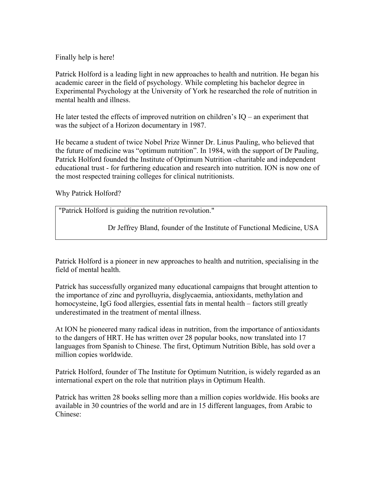Finally help is here!

Patrick Holford is a leading light in new approaches to health and nutrition. He began his academic career in the field of psychology. While completing his bachelor degree in Experimental Psychology at the University of York he researched the role of nutrition in mental health and illness.

He later tested the effects of improved nutrition on children's  $IO -$  an experiment that was the subject of a Horizon documentary in 1987.

He became a student of twice Nobel Prize Winner Dr. Linus Pauling, who believed that the future of medicine was "optimum nutrition". In 1984, with the support of Dr Pauling, Patrick Holford founded the Institute of Optimum Nutrition -charitable and independent educational trust - for furthering education and research into nutrition. ION is now one of the most respected training colleges for clinical nutritionists.

Why Patrick Holford?

"Patrick Holford is guiding the nutrition revolution."

Dr Jeffrey Bland, founder of the Institute of Functional Medicine, USA

Patrick Holford is a pioneer in new approaches to health and nutrition, specialising in the field of mental health.

Patrick has successfully organized many educational campaigns that brought attention to the importance of zinc and pyrolluyria, disglycaemia, antioxidants, methylation and homocysteine, IgG food allergies, essential fats in mental health – factors still greatly underestimated in the treatment of mental illness.

At ION he pioneered many radical ideas in nutrition, from the importance of antioxidants to the dangers of HRT. He has written over 28 popular books, now translated into 17 languages from Spanish to Chinese. The first, Optimum Nutrition Bible, has sold over a million copies worldwide.

Patrick Holford, founder of The Institute for Optimum Nutrition, is widely regarded as an international expert on the role that nutrition plays in Optimum Health.

Patrick has written 28 books selling more than a million copies worldwide. His books are available in 30 countries of the world and are in 15 different languages, from Arabic to Chinese: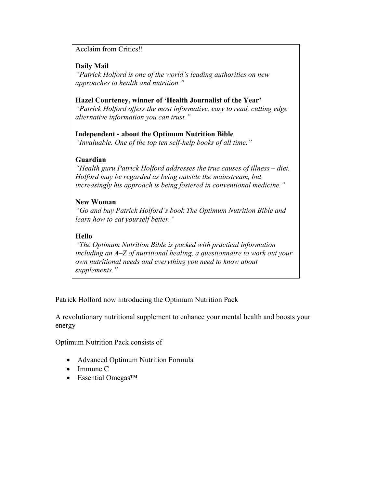### Acclaim from Critics!!

### **Daily Mail**

*"Patrick Holford is one of the world's leading authorities on new approaches to health and nutrition."* 

### **Hazel Courteney, winner of 'Health Journalist of the Year'**

*"Patrick Holford offers the most informative, easy to read, cutting edge alternative information you can trust."* 

### **Independent - about the Optimum Nutrition Bible**

*"Invaluable. One of the top ten self-help books of all time."* 

# **Guardian**

*"Health guru Patrick Holford addresses the true causes of illness – diet. Holford may be regarded as being outside the mainstream, but increasingly his approach is being fostered in conventional medicine."* 

### **New Woman**

*"Go and buy Patrick Holford's book The Optimum Nutrition Bible and learn how to eat yourself better."* 

# **Hello**

*"The Optimum Nutrition Bible is packed with practical information including an A–Z of nutritional healing, a questionnaire to work out your own nutritional needs and everything you need to know about supplements."*

Patrick Holford now introducing the Optimum Nutrition Pack

A revolutionary nutritional supplement to enhance your mental health and boosts your energy

Optimum Nutrition Pack consists of

- Advanced Optimum Nutrition Formula
- Immune C
- Essential Omegas<sup>TM</sup>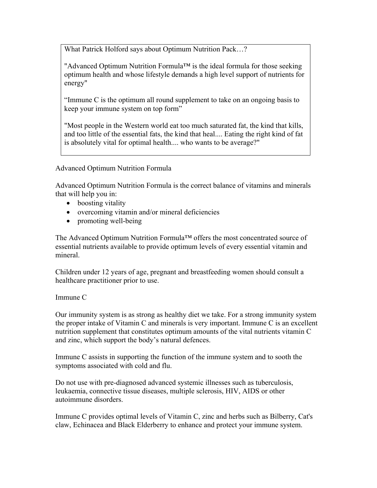What Patrick Holford says about Optimum Nutrition Pack…?

"Advanced Optimum Nutrition Formula™ is the ideal formula for those seeking optimum health and whose lifestyle demands a high level support of nutrients for energy"

"Immune C is the optimum all round supplement to take on an ongoing basis to keep your immune system on top form"

"Most people in the Western world eat too much saturated fat, the kind that kills, and too little of the essential fats, the kind that heal.... Eating the right kind of fat is absolutely vital for optimal health.... who wants to be average?"

Advanced Optimum Nutrition Formula

Advanced Optimum Nutrition Formula is the correct balance of vitamins and minerals that will help you in:

- boosting vitality
- overcoming vitamin and/or mineral deficiencies
- promoting well-being

The Advanced Optimum Nutrition Formula™ offers the most concentrated source of essential nutrients available to provide optimum levels of every essential vitamin and mineral.

Children under 12 years of age, pregnant and breastfeeding women should consult a healthcare practitioner prior to use.

### Immune C

Our immunity system is as strong as healthy diet we take. For a strong immunity system the proper intake of Vitamin C and minerals is very important. Immune C is an excellent nutrition supplement that constitutes optimum amounts of the vital nutrients vitamin C and zinc, which support the body's natural defences.

Immune C assists in supporting the function of the immune system and to sooth the symptoms associated with cold and flu.

Do not use with pre-diagnosed advanced systemic illnesses such as tuberculosis, leukaemia, connective tissue diseases, multiple sclerosis, HIV, AIDS or other autoimmune disorders.

Immune C provides optimal levels of Vitamin C, zinc and herbs such as Bilberry, Cat's claw, Echinacea and Black Elderberry to enhance and protect your immune system.